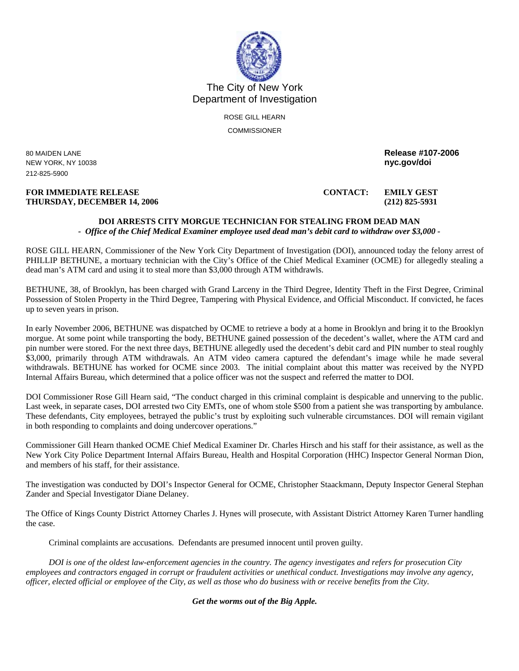

The City of New York Department of Investigation

> ROSE GILL HEARN **COMMISSIONER**

**NEW YORK, NY 10038** 212-825-5900

## **FOR IMMEDIATE RELEASE CONTACT: EMILY GEST THURSDAY, DECEMBER 14, 2006 (212) 825-5931**

80 MAIDEN LANE **Release #107-2006** 

**DOI ARRESTS CITY MORGUE TECHNICIAN FOR STEALING FROM DEAD MAN**  *- Office of the Chief Medical Examiner employee used dead man's debit card to withdraw over \$3,000 -*

ROSE GILL HEARN, Commissioner of the New York City Department of Investigation (DOI), announced today the felony arrest of PHILLIP BETHUNE, a mortuary technician with the City's Office of the Chief Medical Examiner (OCME) for allegedly stealing a dead man's ATM card and using it to steal more than \$3,000 through ATM withdrawls.

BETHUNE, 38, of Brooklyn, has been charged with Grand Larceny in the Third Degree, Identity Theft in the First Degree, Criminal Possession of Stolen Property in the Third Degree, Tampering with Physical Evidence, and Official Misconduct. If convicted, he faces up to seven years in prison.

In early November 2006, BETHUNE was dispatched by OCME to retrieve a body at a home in Brooklyn and bring it to the Brooklyn morgue. At some point while transporting the body, BETHUNE gained possession of the decedent's wallet, where the ATM card and pin number were stored. For the next three days, BETHUNE allegedly used the decedent's debit card and PIN number to steal roughly \$3,000, primarily through ATM withdrawals. An ATM video camera captured the defendant's image while he made several withdrawals. BETHUNE has worked for OCME since 2003. The initial complaint about this matter was received by the NYPD Internal Affairs Bureau, which determined that a police officer was not the suspect and referred the matter to DOI.

DOI Commissioner Rose Gill Hearn said, "The conduct charged in this criminal complaint is despicable and unnerving to the public. Last week, in separate cases, DOI arrested two City EMTs, one of whom stole \$500 from a patient she was transporting by ambulance. These defendants, City employees, betrayed the public's trust by exploiting such vulnerable circumstances. DOI will remain vigilant in both responding to complaints and doing undercover operations."

Commissioner Gill Hearn thanked OCME Chief Medical Examiner Dr. Charles Hirsch and his staff for their assistance, as well as the New York City Police Department Internal Affairs Bureau, Health and Hospital Corporation (HHC) Inspector General Norman Dion, and members of his staff, for their assistance.

The investigation was conducted by DOI's Inspector General for OCME, Christopher Staackmann, Deputy Inspector General Stephan Zander and Special Investigator Diane Delaney.

The Office of Kings County District Attorney Charles J. Hynes will prosecute, with Assistant District Attorney Karen Turner handling the case.

Criminal complaints are accusations. Defendants are presumed innocent until proven guilty.

*DOI is one of the oldest law-enforcement agencies in the country. The agency investigates and refers for prosecution City employees and contractors engaged in corrupt or fraudulent activities or unethical conduct. Investigations may involve any agency, officer, elected official or employee of the City, as well as those who do business with or receive benefits from the City.* 

*Get the worms out of the Big Apple.*